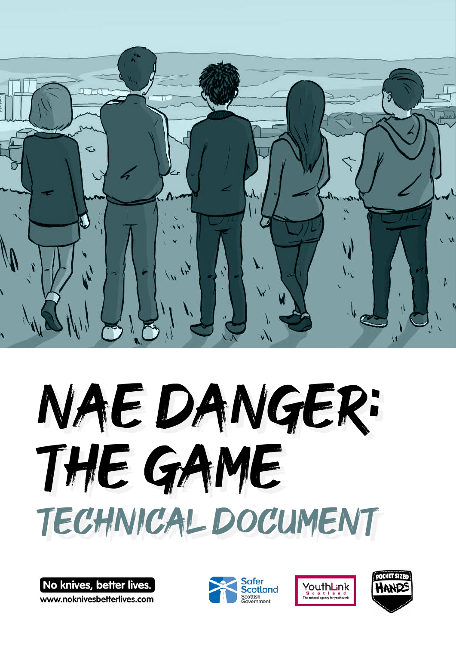

# Nae Danger: THE GAME Technical Document

No knives, better lives www.noknivesbetterlives.com





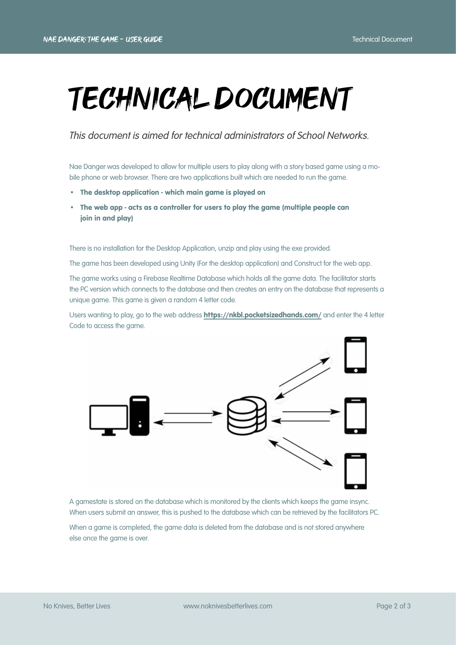## Technical Document

*This document is aimed for technical administrators of School Networks.* 

Nae Danger was developed to allow for multiple users to play along with a story based game using a mobile phone or web browser. There are two applications built which are needed to run the game.

- The desktop application which main game is played on
- The web app acts as a controller for users to play the game (multiple people can join in and play)

There is no installation for the Desktop Application, unzip and play using the exe provided.

The game has been developed using Unity (For the desktop application) and Construct for the web app.

The game works using a Firebase Realtime Database which holds all the game data. The facilitator starts the PC version which connects to the database and then creates an entry on the database that represents a unique game. This game is given a random 4 letter code.

Users wanting to play, go to the web address **<https://nkbl.pocketsizedhands.com/>** and enter the 4 letter Code to access the game.



A gamestate is stored on the database which is monitored by the clients which keeps the game insync. When users submit an answer, this is pushed to the database which can be retrieved by the facilitators PC.

When a game is completed, the game data is deleted from the database and is not stored anywhere else once the game is over.